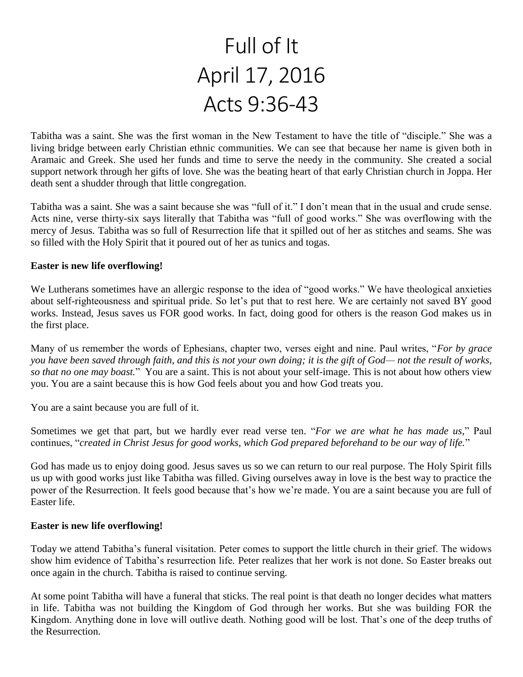# Full of It April 17, 2016 Acts 9:36-43

Tabitha was a saint. She was the first woman in the New Testament to have the title of "disciple." She was a living bridge between early Christian ethnic communities. We can see that because her name is given both in Aramaic and Greek. She used her funds and time to serve the needy in the community. She created a social support network through her gifts of love. She was the beating heart of that early Christian church in Joppa. Her death sent a shudder through that little congregation.

Tabitha was a saint. She was a saint because she was "full of it." I don't mean that in the usual and crude sense. Acts nine, verse thirty-six says literally that Tabitha was "full of good works." She was overflowing with the mercy of Jesus. Tabitha was so full of Resurrection life that it spilled out of her as stitches and seams. She was so filled with the Holy Spirit that it poured out of her as tunics and togas.

## **Easter is new life overflowing!**

We Lutherans sometimes have an allergic response to the idea of "good works." We have theological anxieties about self-righteousness and spiritual pride. So let's put that to rest here. We are certainly not saved BY good works. Instead, Jesus saves us FOR good works. In fact, doing good for others is the reason God makes us in the first place.

Many of us remember the words of Ephesians, chapter two, verses eight and nine. Paul writes, "*For by grace you have been saved through faith, and this is not your own doing; it is the gift of God— not the result of works, so that no one may boast.*" You are a saint. This is not about your self-image. This is not about how others view you. You are a saint because this is how God feels about you and how God treats you.

You are a saint because you are full of it.

Sometimes we get that part, but we hardly ever read verse ten. "*For we are what he has made us*," Paul continues, "*created in Christ Jesus for good works, which God prepared beforehand to be our way of life.*"

God has made us to enjoy doing good. Jesus saves us so we can return to our real purpose. The Holy Spirit fills us up with good works just like Tabitha was filled. Giving ourselves away in love is the best way to practice the power of the Resurrection. It feels good because that's how we're made. You are a saint because you are full of Easter life.

### **Easter is new life overflowing!**

Today we attend Tabitha's funeral visitation. Peter comes to support the little church in their grief. The widows show him evidence of Tabitha's resurrection life. Peter realizes that her work is not done. So Easter breaks out once again in the church. Tabitha is raised to continue serving.

At some point Tabitha will have a funeral that sticks. The real point is that death no longer decides what matters in life. Tabitha was not building the Kingdom of God through her works. But she was building FOR the Kingdom. Anything done in love will outlive death. Nothing good will be lost. That's one of the deep truths of the Resurrection.